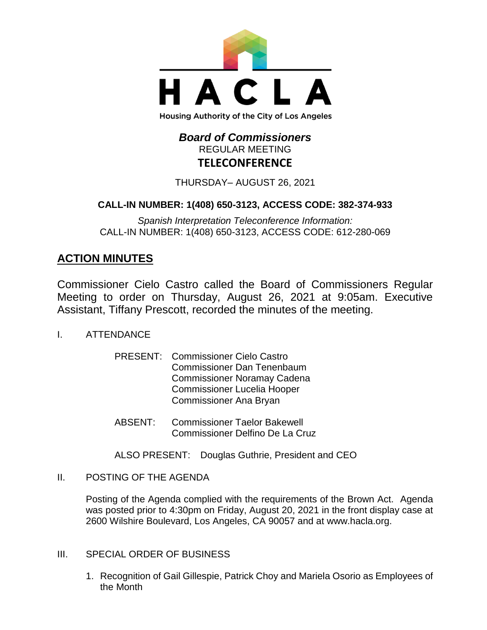

# *Board of Commissioners* REGULAR MEETING **TELECONFERENCE**

THURSDAY– AUGUST 26, 2021

# **CALL-IN NUMBER: 1(408) 650-3123, ACCESS CODE: 382-374-933**

*Spanish Interpretation Teleconference Information:* CALL-IN NUMBER: 1(408) 650-3123, ACCESS CODE: 612-280-069

# **ACTION MINUTES**

Commissioner Cielo Castro called the Board of Commissioners Regular Meeting to order on Thursday, August 26, 2021 at 9:05am. Executive Assistant, Tiffany Prescott, recorded the minutes of the meeting.

- I. ATTENDANCE
	- PRESENT: Commissioner Cielo Castro Commissioner Dan Tenenbaum Commissioner Noramay Cadena Commissioner Lucelia Hooper Commissioner Ana Bryan
	- ABSENT: Commissioner Taelor Bakewell Commissioner Delfino De La Cruz
	- ALSO PRESENT: Douglas Guthrie, President and CEO
- II. POSTING OF THE AGENDA

Posting of the Agenda complied with the requirements of the Brown Act. Agenda was posted prior to 4:30pm on Friday, August 20, 2021 in the front display case at 2600 Wilshire Boulevard, Los Angeles, CA 90057 and at [www.hacla.org.](http://www.hacla.org/)

- III. SPECIAL ORDER OF BUSINESS
	- 1. Recognition of Gail Gillespie, Patrick Choy and Mariela Osorio as Employees of the Month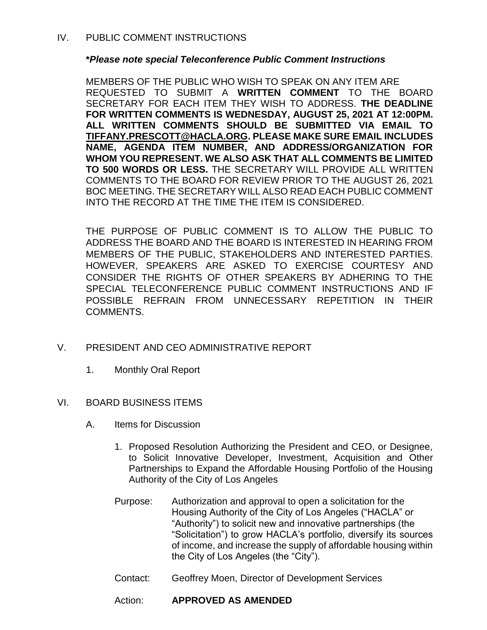## **\****Please note special Teleconference Public Comment Instructions*

MEMBERS OF THE PUBLIC WHO WISH TO SPEAK ON ANY ITEM ARE REQUESTED TO SUBMIT A **WRITTEN COMMENT** TO THE BOARD SECRETARY FOR EACH ITEM THEY WISH TO ADDRESS. **THE DEADLINE FOR WRITTEN COMMENTS IS WEDNESDAY, AUGUST 25, 2021 AT 12:00PM. ALL WRITTEN COMMENTS SHOULD BE SUBMITTED VIA EMAIL TO [TIFFANY.PRESCOTT@HACLA.ORG.](mailto:TIFFANY.PRESCOTT@HACLA.ORG) PLEASE MAKE SURE EMAIL INCLUDES NAME, AGENDA ITEM NUMBER, AND ADDRESS/ORGANIZATION FOR WHOM YOU REPRESENT. WE ALSO ASK THAT ALL COMMENTS BE LIMITED TO 500 WORDS OR LESS.** THE SECRETARY WILL PROVIDE ALL WRITTEN COMMENTS TO THE BOARD FOR REVIEW PRIOR TO THE AUGUST 26, 2021 BOC MEETING. THE SECRETARY WILL ALSO READ EACH PUBLIC COMMENT INTO THE RECORD AT THE TIME THE ITEM IS CONSIDERED.

THE PURPOSE OF PUBLIC COMMENT IS TO ALLOW THE PUBLIC TO ADDRESS THE BOARD AND THE BOARD IS INTERESTED IN HEARING FROM MEMBERS OF THE PUBLIC, STAKEHOLDERS AND INTERESTED PARTIES. HOWEVER, SPEAKERS ARE ASKED TO EXERCISE COURTESY AND CONSIDER THE RIGHTS OF OTHER SPEAKERS BY ADHERING TO THE SPECIAL TELECONFERENCE PUBLIC COMMENT INSTRUCTIONS AND IF POSSIBLE REFRAIN FROM UNNECESSARY REPETITION IN THEIR COMMENTS.

- V. PRESIDENT AND CEO ADMINISTRATIVE REPORT
	- 1. Monthly Oral Report
- VI. BOARD BUSINESS ITEMS
	- A. Items for Discussion
		- 1. Proposed Resolution Authorizing the President and CEO, or Designee, to Solicit Innovative Developer, Investment, Acquisition and Other Partnerships to Expand the Affordable Housing Portfolio of the Housing Authority of the City of Los Angeles
		- Purpose: Authorization and approval to open a solicitation for the Housing Authority of the City of Los Angeles ("HACLA" or "Authority") to solicit new and innovative partnerships (the "Solicitation") to grow HACLA's portfolio, diversify its sources of income, and increase the supply of affordable housing within the City of Los Angeles (the "City").
		- Contact: Geoffrey Moen, Director of Development Services

# Action: **APPROVED AS AMENDED**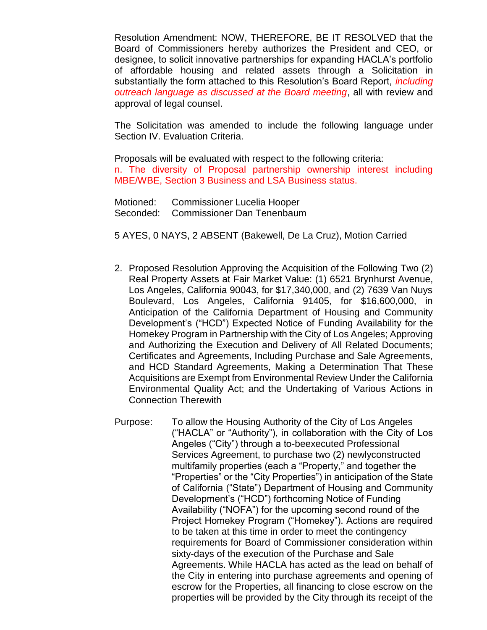Resolution Amendment: NOW, THEREFORE, BE IT RESOLVED that the Board of Commissioners hereby authorizes the President and CEO, or designee, to solicit innovative partnerships for expanding HACLA's portfolio of affordable housing and related assets through a Solicitation in substantially the form attached to this Resolution's Board Report, *including outreach language as discussed at the Board meeting*, all with review and approval of legal counsel.

The Solicitation was amended to include the following language under Section IV. Evaluation Criteria.

Proposals will be evaluated with respect to the following criteria: n. The diversity of Proposal partnership ownership interest including MBE/WBE, Section 3 Business and LSA Business status.

Motioned: Commissioner Lucelia Hooper Seconded: Commissioner Dan Tenenbaum

5 AYES, 0 NAYS, 2 ABSENT (Bakewell, De La Cruz), Motion Carried

- 2. Proposed Resolution Approving the Acquisition of the Following Two (2) Real Property Assets at Fair Market Value: (1) 6521 Brynhurst Avenue, Los Angeles, California 90043, for \$17,340,000, and (2) 7639 Van Nuys Boulevard, Los Angeles, California 91405, for \$16,600,000, in Anticipation of the California Department of Housing and Community Development's ("HCD") Expected Notice of Funding Availability for the Homekey Program in Partnership with the City of Los Angeles; Approving and Authorizing the Execution and Delivery of All Related Documents; Certificates and Agreements, Including Purchase and Sale Agreements, and HCD Standard Agreements, Making a Determination That These Acquisitions are Exempt from Environmental Review Under the California Environmental Quality Act; and the Undertaking of Various Actions in Connection Therewith
- Purpose: To allow the Housing Authority of the City of Los Angeles ("HACLA" or "Authority"), in collaboration with the City of Los Angeles ("City") through a to-beexecuted Professional Services Agreement, to purchase two (2) newlyconstructed multifamily properties (each a "Property," and together the "Properties" or the "City Properties") in anticipation of the State of California ("State") Department of Housing and Community Development's ("HCD") forthcoming Notice of Funding Availability ("NOFA") for the upcoming second round of the Project Homekey Program ("Homekey"). Actions are required to be taken at this time in order to meet the contingency requirements for Board of Commissioner consideration within sixty-days of the execution of the Purchase and Sale Agreements. While HACLA has acted as the lead on behalf of the City in entering into purchase agreements and opening of escrow for the Properties, all financing to close escrow on the properties will be provided by the City through its receipt of the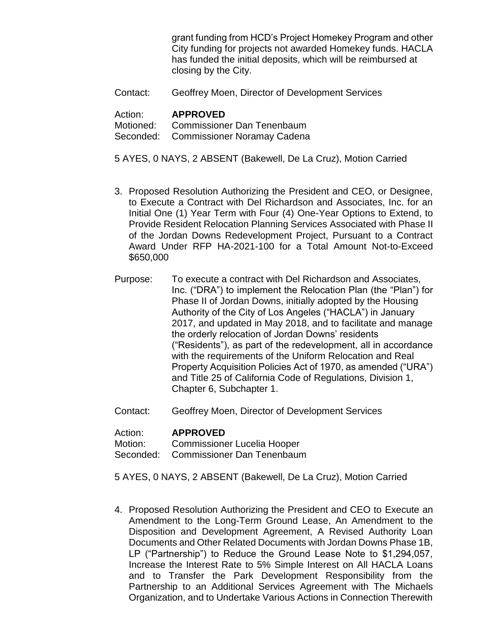grant funding from HCD's Project Homekey Program and other City funding for projects not awarded Homekey funds. HACLA has funded the initial deposits, which will be reimbursed at closing by the City.

Contact: Geoffrey Moen, Director of Development Services

#### Action: **APPROVED**

Motioned: Commissioner Dan Tenenbaum Seconded: Commissioner Noramay Cadena

5 AYES, 0 NAYS, 2 ABSENT (Bakewell, De La Cruz), Motion Carried

- 3. Proposed Resolution Authorizing the President and CEO, or Designee, to Execute a Contract with Del Richardson and Associates, Inc. for an Initial One (1) Year Term with Four (4) One-Year Options to Extend, to Provide Resident Relocation Planning Services Associated with Phase II of the Jordan Downs Redevelopment Project, Pursuant to a Contract Award Under RFP HA-2021-100 for a Total Amount Not-to-Exceed \$650,000
- Purpose: To execute a contract with Del Richardson and Associates, Inc. ("DRA") to implement the Relocation Plan (the "Plan") for Phase II of Jordan Downs, initially adopted by the Housing Authority of the City of Los Angeles ("HACLA") in January 2017, and updated in May 2018, and to facilitate and manage the orderly relocation of Jordan Downs' residents ("Residents"), as part of the redevelopment, all in accordance with the requirements of the Uniform Relocation and Real Property Acquisition Policies Act of 1970, as amended ("URA") and Title 25 of California Code of Regulations, Division 1, Chapter 6, Subchapter 1.
- Contact: Geoffrey Moen, Director of Development Services

#### Action: **APPROVED**

Motion: Commissioner Lucelia Hooper

Seconded: Commissioner Dan Tenenbaum

5 AYES, 0 NAYS, 2 ABSENT (Bakewell, De La Cruz), Motion Carried

4. Proposed Resolution Authorizing the President and CEO to Execute an Amendment to the Long-Term Ground Lease, An Amendment to the Disposition and Development Agreement, A Revised Authority Loan Documents and Other Related Documents with Jordan Downs Phase 1B, LP ("Partnership") to Reduce the Ground Lease Note to \$1,294,057, Increase the Interest Rate to 5% Simple Interest on All HACLA Loans and to Transfer the Park Development Responsibility from the Partnership to an Additional Services Agreement with The Michaels Organization, and to Undertake Various Actions in Connection Therewith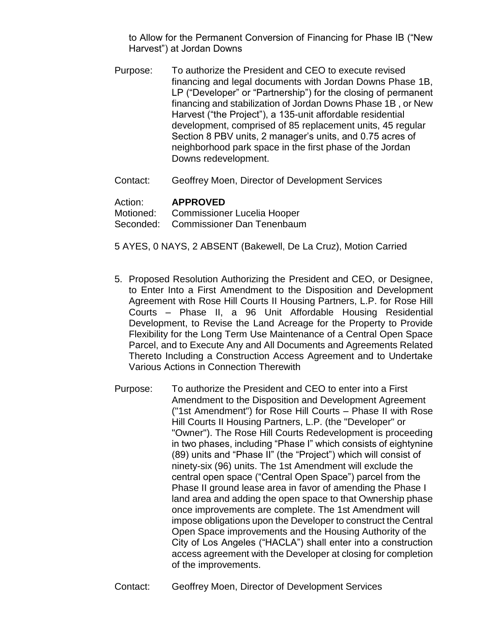to Allow for the Permanent Conversion of Financing for Phase IB ("New Harvest") at Jordan Downs

- Purpose: To authorize the President and CEO to execute revised financing and legal documents with Jordan Downs Phase 1B, LP ("Developer" or "Partnership") for the closing of permanent financing and stabilization of Jordan Downs Phase 1B , or New Harvest ("the Project"), a 135-unit affordable residential development, comprised of 85 replacement units, 45 regular Section 8 PBV units, 2 manager's units, and 0.75 acres of neighborhood park space in the first phase of the Jordan Downs redevelopment.
- Contact: Geoffrey Moen, Director of Development Services

## Action: **APPROVED**

Motioned: Commissioner Lucelia Hooper Seconded: Commissioner Dan Tenenbaum

- 5 AYES, 0 NAYS, 2 ABSENT (Bakewell, De La Cruz), Motion Carried
- 5. Proposed Resolution Authorizing the President and CEO, or Designee, to Enter Into a First Amendment to the Disposition and Development Agreement with Rose Hill Courts II Housing Partners, L.P. for Rose Hill Courts – Phase II, a 96 Unit Affordable Housing Residential Development, to Revise the Land Acreage for the Property to Provide Flexibility for the Long Term Use Maintenance of a Central Open Space Parcel, and to Execute Any and All Documents and Agreements Related Thereto Including a Construction Access Agreement and to Undertake Various Actions in Connection Therewith
- Purpose: To authorize the President and CEO to enter into a First Amendment to the Disposition and Development Agreement ("1st Amendment") for Rose Hill Courts – Phase II with Rose Hill Courts II Housing Partners, L.P. (the "Developer" or "Owner"). The Rose Hill Courts Redevelopment is proceeding in two phases, including "Phase I" which consists of eightynine (89) units and "Phase II" (the "Project") which will consist of ninety-six (96) units. The 1st Amendment will exclude the central open space ("Central Open Space") parcel from the Phase II ground lease area in favor of amending the Phase I land area and adding the open space to that Ownership phase once improvements are complete. The 1st Amendment will impose obligations upon the Developer to construct the Central Open Space improvements and the Housing Authority of the City of Los Angeles ("HACLA") shall enter into a construction access agreement with the Developer at closing for completion of the improvements.
- Contact: Geoffrey Moen, Director of Development Services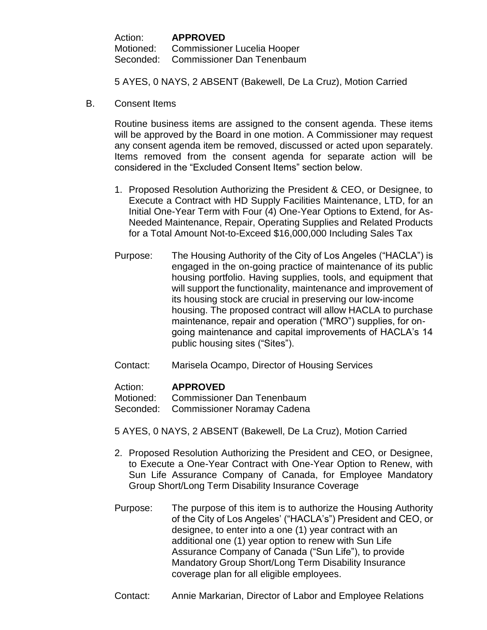| Action: | <b>APPROVED</b>                       |
|---------|---------------------------------------|
|         | Motioned: Commissioner Lucelia Hooper |
|         | Seconded: Commissioner Dan Tenenbaum  |

5 AYES, 0 NAYS, 2 ABSENT (Bakewell, De La Cruz), Motion Carried

B. Consent Items

Routine business items are assigned to the consent agenda. These items will be approved by the Board in one motion. A Commissioner may request any consent agenda item be removed, discussed or acted upon separately. Items removed from the consent agenda for separate action will be considered in the "Excluded Consent Items" section below.

- 1. Proposed Resolution Authorizing the President & CEO, or Designee, to Execute a Contract with HD Supply Facilities Maintenance, LTD, for an Initial One-Year Term with Four (4) One-Year Options to Extend, for As-Needed Maintenance, Repair, Operating Supplies and Related Products for a Total Amount Not-to-Exceed \$16,000,000 Including Sales Tax
- Purpose: The Housing Authority of the City of Los Angeles ("HACLA") is engaged in the on-going practice of maintenance of its public housing portfolio. Having supplies, tools, and equipment that will support the functionality, maintenance and improvement of its housing stock are crucial in preserving our low-income housing. The proposed contract will allow HACLA to purchase maintenance, repair and operation ("MRO") supplies, for ongoing maintenance and capital improvements of HACLA's 14 public housing sites ("Sites").
- Contact: Marisela Ocampo, Director of Housing Services

# Action: **APPROVED**

Motioned: Commissioner Dan Tenenbaum

Seconded: Commissioner Noramay Cadena

5 AYES, 0 NAYS, 2 ABSENT (Bakewell, De La Cruz), Motion Carried

- 2. Proposed Resolution Authorizing the President and CEO, or Designee, to Execute a One-Year Contract with One-Year Option to Renew, with Sun Life Assurance Company of Canada, for Employee Mandatory Group Short/Long Term Disability Insurance Coverage
- Purpose: The purpose of this item is to authorize the Housing Authority of the City of Los Angeles' ("HACLA's") President and CEO, or designee, to enter into a one (1) year contract with an additional one (1) year option to renew with Sun Life Assurance Company of Canada ("Sun Life"), to provide Mandatory Group Short/Long Term Disability Insurance coverage plan for all eligible employees.
- Contact: Annie Markarian, Director of Labor and Employee Relations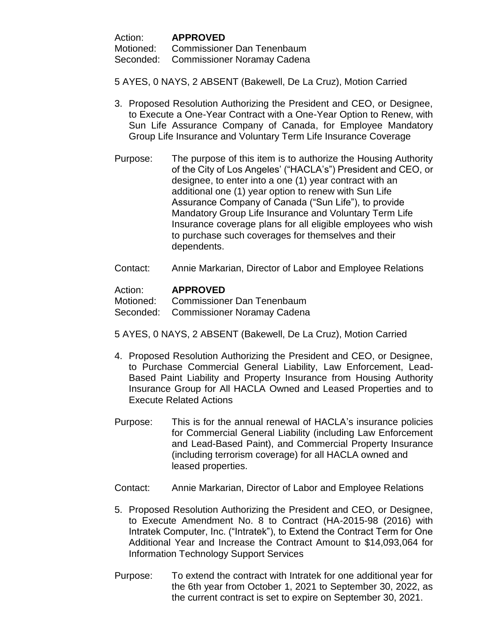Action: **APPROVED**

Motioned: Commissioner Dan Tenenbaum

Seconded: Commissioner Noramay Cadena

5 AYES, 0 NAYS, 2 ABSENT (Bakewell, De La Cruz), Motion Carried

- 3. Proposed Resolution Authorizing the President and CEO, or Designee, to Execute a One-Year Contract with a One-Year Option to Renew, with Sun Life Assurance Company of Canada, for Employee Mandatory Group Life Insurance and Voluntary Term Life Insurance Coverage
- Purpose: The purpose of this item is to authorize the Housing Authority of the City of Los Angeles' ("HACLA's") President and CEO, or designee, to enter into a one (1) year contract with an additional one (1) year option to renew with Sun Life Assurance Company of Canada ("Sun Life"), to provide Mandatory Group Life Insurance and Voluntary Term Life Insurance coverage plans for all eligible employees who wish to purchase such coverages for themselves and their dependents.
- Contact: Annie Markarian, Director of Labor and Employee Relations

## Action: **APPROVED**

Motioned: Commissioner Dan Tenenbaum

Seconded: Commissioner Noramay Cadena

- 5 AYES, 0 NAYS, 2 ABSENT (Bakewell, De La Cruz), Motion Carried
- 4. Proposed Resolution Authorizing the President and CEO, or Designee, to Purchase Commercial General Liability, Law Enforcement, Lead-Based Paint Liability and Property Insurance from Housing Authority Insurance Group for All HACLA Owned and Leased Properties and to Execute Related Actions
- Purpose: This is for the annual renewal of HACLA's insurance policies for Commercial General Liability (including Law Enforcement and Lead-Based Paint), and Commercial Property Insurance (including terrorism coverage) for all HACLA owned and leased properties.
- Contact: Annie Markarian, Director of Labor and Employee Relations
- 5. Proposed Resolution Authorizing the President and CEO, or Designee, to Execute Amendment No. 8 to Contract (HA-2015-98 (2016) with Intratek Computer, Inc. ("Intratek"), to Extend the Contract Term for One Additional Year and Increase the Contract Amount to \$14,093,064 for Information Technology Support Services
- Purpose: To extend the contract with Intratek for one additional year for the 6th year from October 1, 2021 to September 30, 2022, as the current contract is set to expire on September 30, 2021.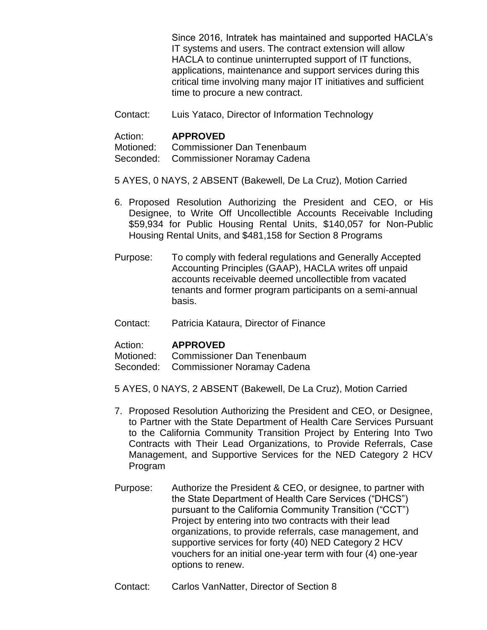Since 2016, Intratek has maintained and supported HACLA's IT systems and users. The contract extension will allow HACLA to continue uninterrupted support of IT functions, applications, maintenance and support services during this critical time involving many major IT initiatives and sufficient time to procure a new contract.

Contact: Luis Yataco, Director of Information Technology

#### Action: **APPROVED**

Motioned: Commissioner Dan Tenenbaum

Seconded: Commissioner Noramay Cadena

- 5 AYES, 0 NAYS, 2 ABSENT (Bakewell, De La Cruz), Motion Carried
- 6. Proposed Resolution Authorizing the President and CEO, or His Designee, to Write Off Uncollectible Accounts Receivable Including \$59,934 for Public Housing Rental Units, \$140,057 for Non-Public Housing Rental Units, and \$481,158 for Section 8 Programs
- Purpose: To comply with federal regulations and Generally Accepted Accounting Principles (GAAP), HACLA writes off unpaid accounts receivable deemed uncollectible from vacated tenants and former program participants on a semi-annual basis.
- Contact: Patricia Kataura, Director of Finance

#### Action: **APPROVED**

Motioned: Commissioner Dan Tenenbaum

Seconded: Commissioner Noramay Cadena

5 AYES, 0 NAYS, 2 ABSENT (Bakewell, De La Cruz), Motion Carried

- 7. Proposed Resolution Authorizing the President and CEO, or Designee, to Partner with the State Department of Health Care Services Pursuant to the California Community Transition Project by Entering Into Two Contracts with Their Lead Organizations, to Provide Referrals, Case Management, and Supportive Services for the NED Category 2 HCV Program
- Purpose: Authorize the President & CEO, or designee, to partner with the State Department of Health Care Services ("DHCS") pursuant to the California Community Transition ("CCT") Project by entering into two contracts with their lead organizations, to provide referrals, case management, and supportive services for forty (40) NED Category 2 HCV vouchers for an initial one-year term with four (4) one-year options to renew.
- Contact: Carlos VanNatter, Director of Section 8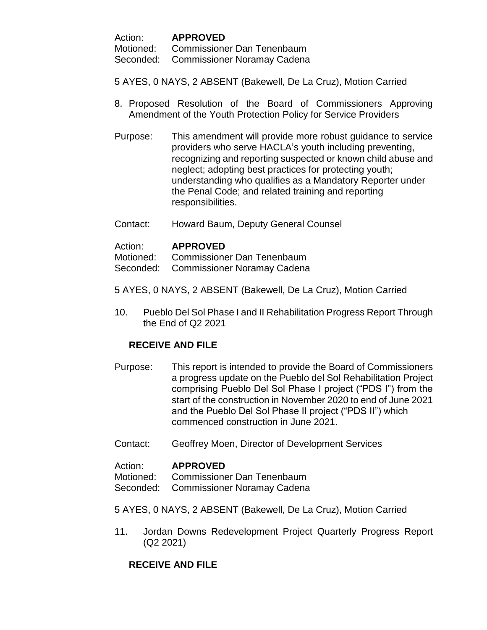Action: **APPROVED**

Motioned: Commissioner Dan Tenenbaum

Seconded: Commissioner Noramay Cadena

- 5 AYES, 0 NAYS, 2 ABSENT (Bakewell, De La Cruz), Motion Carried
- 8. Proposed Resolution of the Board of Commissioners Approving Amendment of the Youth Protection Policy for Service Providers
- Purpose: This amendment will provide more robust guidance to service providers who serve HACLA's youth including preventing, recognizing and reporting suspected or known child abuse and neglect; adopting best practices for protecting youth; understanding who qualifies as a Mandatory Reporter under the Penal Code; and related training and reporting responsibilities.
- Contact: Howard Baum, Deputy General Counsel

## Action: **APPROVED**

Motioned: Commissioner Dan Tenenbaum

Seconded: Commissioner Noramay Cadena

- 5 AYES, 0 NAYS, 2 ABSENT (Bakewell, De La Cruz), Motion Carried
- 10. Pueblo Del Sol Phase I and II Rehabilitation Progress Report Through the End of Q2 2021

# **RECEIVE AND FILE**

- Purpose: This report is intended to provide the Board of Commissioners a progress update on the Pueblo del Sol Rehabilitation Project comprising Pueblo Del Sol Phase I project ("PDS I") from the start of the construction in November 2020 to end of June 2021 and the Pueblo Del Sol Phase II project ("PDS II") which commenced construction in June 2021.
- Contact: Geoffrey Moen, Director of Development Services

#### Action: **APPROVED**

Motioned: Commissioner Dan Tenenbaum

Seconded: Commissioner Noramay Cadena

5 AYES, 0 NAYS, 2 ABSENT (Bakewell, De La Cruz), Motion Carried

11. Jordan Downs Redevelopment Project Quarterly Progress Report (Q2 2021)

# **RECEIVE AND FILE**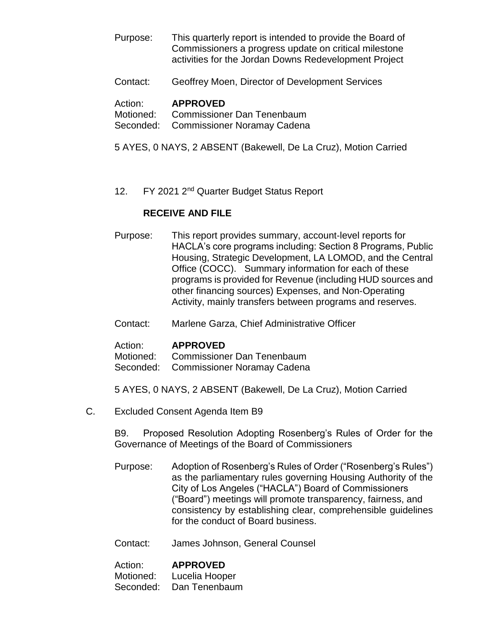- Purpose: This quarterly report is intended to provide the Board of Commissioners a progress update on critical milestone activities for the Jordan Downs Redevelopment Project
- Contact: Geoffrey Moen, Director of Development Services

#### Action: **APPROVED**

Motioned: Commissioner Dan Tenenbaum

- Seconded: Commissioner Noramay Cadena
- 5 AYES, 0 NAYS, 2 ABSENT (Bakewell, De La Cruz), Motion Carried
- 12. FY 2021 2<sup>nd</sup> Quarter Budget Status Report

## **RECEIVE AND FILE**

- Purpose: This report provides summary, account‐level reports for HACLA's core programs including: Section 8 Programs, Public Housing, Strategic Development, LA LOMOD, and the Central Office (COCC). Summary information for each of these programs is provided for Revenue (including HUD sources and other financing sources) Expenses, and Non‐Operating Activity, mainly transfers between programs and reserves.
- Contact: Marlene Garza, Chief Administrative Officer

#### Action: **APPROVED**

Motioned: Commissioner Dan Tenenbaum Seconded: Commissioner Noramay Cadena

5 AYES, 0 NAYS, 2 ABSENT (Bakewell, De La Cruz), Motion Carried

C. Excluded Consent Agenda Item B9

B9. Proposed Resolution Adopting Rosenberg's Rules of Order for the Governance of Meetings of the Board of Commissioners

- Purpose: Adoption of Rosenberg's Rules of Order ("Rosenberg's Rules") as the parliamentary rules governing Housing Authority of the City of Los Angeles ("HACLA") Board of Commissioners ("Board") meetings will promote transparency, fairness, and consistency by establishing clear, comprehensible guidelines for the conduct of Board business.
- Contact: James Johnson, General Counsel

| Action:   | <b>APPROVED</b> |
|-----------|-----------------|
| Motioned: | Lucelia Hooper  |
| Seconded: | Dan Tenenbaum   |